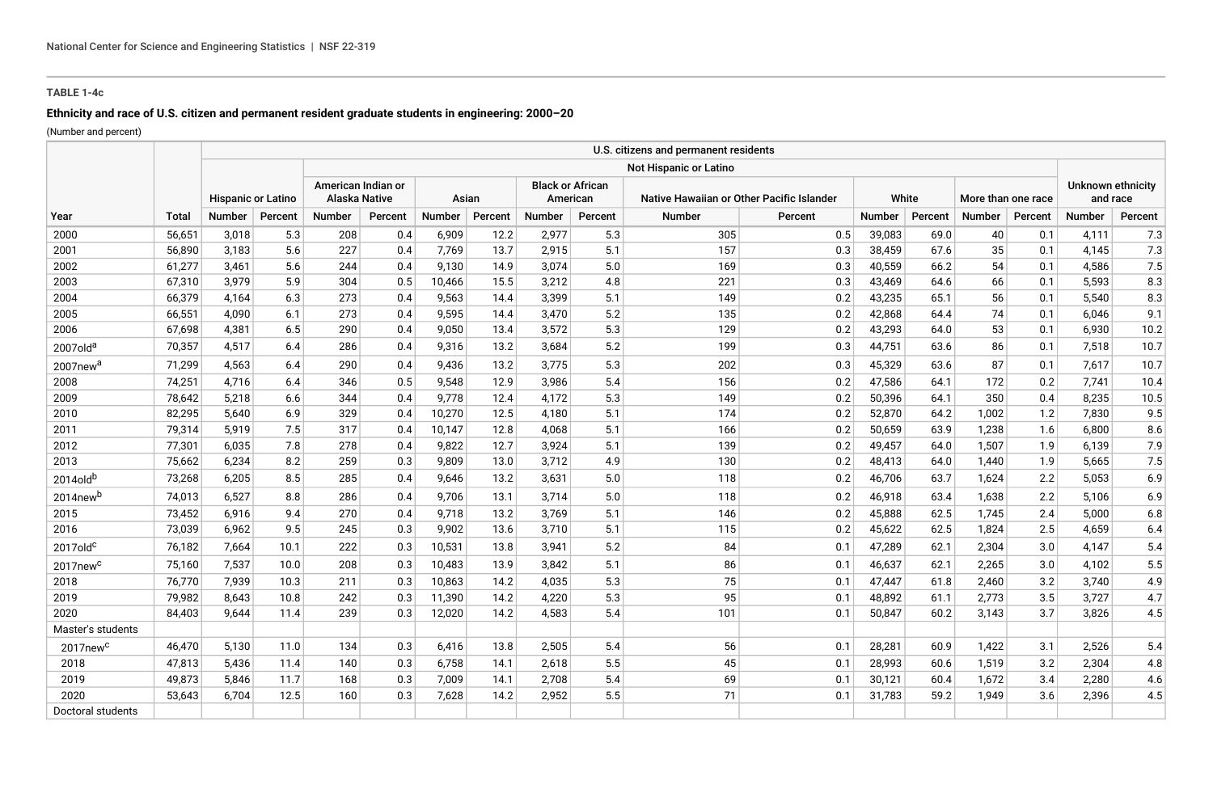# **TABLE 1-4c**

# **Ethnicity and race of U.S. citizen and permanent resident graduate students in engineering: 2000–20**

(Number and percent)

| Year                 | <b>Total</b> |                           |         |                                            |         |        |         |                                     |         | U.S. citizens and permanent residents     |         |               |         |                    |         |                               |         |
|----------------------|--------------|---------------------------|---------|--------------------------------------------|---------|--------|---------|-------------------------------------|---------|-------------------------------------------|---------|---------------|---------|--------------------|---------|-------------------------------|---------|
|                      |              |                           |         | Not Hispanic or Latino                     |         |        |         |                                     |         |                                           |         |               |         |                    |         |                               |         |
|                      |              | <b>Hispanic or Latino</b> |         | American Indian or<br><b>Alaska Native</b> |         | Asian  |         | <b>Black or African</b><br>American |         | Native Hawaiian or Other Pacific Islander |         | White         |         | More than one race |         | Unknown ethnicity<br>and race |         |
|                      |              | <b>Number</b>             | Percent | <b>Number</b>                              | Percent | Number | Percent | Number                              | Percent | <b>Number</b>                             | Percent | <b>Number</b> | Percent | Number             | Percent | Number                        | Percent |
| 2000                 | 56,651       | 3,018                     | 5.3     | 208                                        | 0.4     | 6,909  | 12.2    | 2,977                               | 5.3     | 305                                       | 0.5     | 39,083        | 69.0    | 40                 | 0.1     | 4,111                         | 7.3     |
| 2001                 | 56,890       | 3,183                     | 5.6     | 227                                        | 0.4     | 7,769  | 13.7    | 2,915                               | 5.1     | 157                                       | 0.3     | 38,459        | 67.6    | 35                 | 0.1     | 4,145                         | 7.3     |
| 2002                 | 61,277       | 3,461                     | 5.6     | 244                                        | 0.4     | 9,130  | 14.9    | 3,074                               | 5.0     | 169                                       | 0.3     | 40,559        | 66.2    | 54                 | 0.1     | 4,586                         | 7.5     |
| 2003                 | 67,310       | 3,979                     | 5.9     | 304                                        | 0.5     | 10,466 | 15.5    | 3,212                               | 4.8     | 221                                       | 0.3     | 43,469        | 64.6    | 66                 | 0.1     | 5,593                         | 8.3     |
| 2004                 | 66,379       | 4,164                     | 6.3     | 273                                        | 0.4     | 9,563  | 14.4    | 3,399                               | 5.1     | 149                                       | 0.2     | 43,235        | 65.1    | 56                 | 0.1     | 5,540                         | 8.3     |
| 2005                 | 66,551       | 4,090                     | 6.1     | 273                                        | 0.4     | 9,595  | 14.4    | 3,470                               | 5.2     | 135                                       | 0.2     | 42,868        | 64.4    | 74                 | 0.1     | 6,046                         | 9.1     |
| 2006                 | 67,698       | 4,381                     | 6.5     | 290                                        | 0.4     | 9,050  | 13.4    | 3,572                               | 5.3     | 129                                       | 0.2     | 43,293        | 64.0    | 53                 | 0.1     | 6,930                         | 10.2    |
| 2007old <sup>a</sup> | 70,357       | 4,517                     | 6.4     | 286                                        | 0.4     | 9,316  | 13.2    | 3,684                               | 5.2     | 199                                       | 0.3     | 44,751        | 63.6    | 86                 | 0.1     | 7,518                         | 10.7    |
| 2007new <sup>a</sup> | 71,299       | 4,563                     | 6.4     | 290                                        | 0.4     | 9,436  | 13.2    | 3,775                               | 5.3     | 202                                       | 0.3     | 45,329        | 63.6    | 87                 | 0.1     | 7,617                         | 10.7    |
| 2008                 | 74,251       | 4,716                     | 6.4     | 346                                        | 0.5     | 9,548  | 12.9    | 3,986                               | 5.4     | 156                                       | 0.2     | 47,586        | 64.1    | 172                | 0.2     | 7,741                         | 10.4    |
| 2009                 | 78,642       | 5,218                     | 6.6     | 344                                        | 0.4     | 9,778  | 12.4    | 4,172                               | 5.3     | 149                                       | 0.2     | 50,396        | 64.1    | 350                | 0.4     | 8,235                         | 10.5    |
| 2010                 | 82,295       | 5,640                     | 6.9     | 329                                        | 0.4     | 10,270 | 12.5    | 4,180                               | 5.1     | 174                                       | 0.2     | 52,870        | 64.2    | 1,002              | 1.2     | 7,830                         | 9.5     |
| 2011                 | 79,314       | 5,919                     | 7.5     | 317                                        | 0.4     | 10,147 | 12.8    | 4,068                               | 5.1     | 166                                       | 0.2     | 50,659        | 63.9    | 1,238              | 1.6     | 6,800                         | 8.6     |
| 2012                 | 77,301       | 6,035                     | 7.8     | 278                                        | 0.4     | 9,822  | 12.7    | 3,924                               | 5.1     | 139                                       | 0.2     | 49,457        | 64.0    | 1,507              | 1.9     | 6,139                         | 7.9     |
| 2013                 | 75,662       | 6,234                     | 8.2     | 259                                        | 0.3     | 9,809  | 13.0    | 3,712                               | 4.9     | 130                                       | 0.2     | 48,413        | 64.0    | 1,440              | 1.9     | 5,665                         | 7.5     |
| 2014oldb             | 73,268       | 6,205                     | 8.5     | 285                                        | 0.4     | 9,646  | 13.2    | 3,631                               | 5.0     | 118                                       | 0.2     | 46,706        | 63.7    | 1,624              | 2.2     | 5,053                         | 6.9     |
| 2014new <sup>b</sup> | 74,013       | 6,527                     | 8.8     | 286                                        | 0.4     | 9,706  | 13.1    | 3.714                               | 5.0     | 118                                       | 0.2     | 46,918        | 63.4    | 1,638              | 2.2     | 5,106                         | 6.9     |
| 2015                 | 73,452       | 6,916                     | 9.4     | 270                                        | 0.4     | 9,718  | 13.2    | 3,769                               | 5.1     | 146                                       | 0.2     | 45,888        | 62.5    | 1,745              | 2.4     | 5,000                         | 6.8     |
| 2016                 | 73,039       | 6,962                     | 9.5     | 245                                        | 0.3     | 9,902  | 13.6    | 3,710                               | 5.1     | 115                                       | 0.2     | 45,622        | 62.5    | 1,824              | 2.5     | 4,659                         | 6.4     |
| $2017$ old $c$       | 76,182       | 7,664                     | 10.1    | 222                                        | 0.3     | 10,531 | 13.8    | 3,941                               | 5.2     | 84                                        | 0.1     | 47,289        | 62.1    | 2,304              | 3.0     | 4,147                         | 5.4     |
| 2017new <sup>c</sup> | 75,160       | 7,537                     | 10.0    | 208                                        | 0.3     | 10,483 | 13.9    | 3,842                               | 5.1     | 86                                        | 0.1     | 46,637        | 62.1    | 2,265              | 3.0     | 4,102                         | 5.5     |
| 2018                 | 76,770       | 7,939                     | 10.3    | 211                                        | 0.3     | 10,863 | 14.2    | 4,035                               | 5.3     | 75                                        | 0.1     | 47,447        | 61.8    | 2,460              | 3.2     | 3,740                         | 4.9     |
| 2019                 | 79,982       | 8,643                     | 10.8    | 242                                        | 0.3     | 11,390 | 14.2    | 4,220                               | 5.3     | 95                                        | 0.1     | 48,892        | 61.1    | 2,773              | 3.5     | 3,727                         | 4.7     |
| 2020                 | 84,403       | 9,644                     | 11.4    | 239                                        | 0.3     | 12,020 | 14.2    | 4,583                               | 5.4     | 101                                       | 0.1     | 50,847        | 60.2    | 3,143              | 3.7     | 3,826                         | 4.5     |
| Master's students    |              |                           |         |                                            |         |        |         |                                     |         |                                           |         |               |         |                    |         |                               |         |
| 2017new <sup>c</sup> | 46,470       | 5,130                     | 11.0    | 134                                        | 0.3     | 6,416  | 13.8    | 2,505                               | 5.4     | 56                                        | 0.1     | 28,281        | 60.9    | 1,422              | 3.1     | 2,526                         | 5.4     |
| 2018                 | 47,813       | 5,436                     | 11.4    | 140                                        | 0.3     | 6.758  | 14.1    | 2,618                               | 5.5     | 45                                        | 0.1     | 28,993        | 60.6    | 1,519              | 3.2     | 2,304                         | 4.8     |
| 2019                 | 49,873       | 5,846                     | 11.7    | 168                                        | 0.3     | 7,009  | 14.1    | 2,708                               | 5.4     | 69                                        | 0.1     | 30,121        | 60.4    | 1,672              | 3.4     | 2,280                         | 4.6     |
| 2020                 | 53,643       | 6,704                     | 12.5    | 160                                        | 0.3     | 7,628  | 14.2    | 2,952                               | 5.5     | 71                                        | 0.1     | 31,783        | 59.2    | 1,949              | 3.6     | 2,396                         | 4.5     |
| Doctoral students    |              |                           |         |                                            |         |        |         |                                     |         |                                           |         |               |         |                    |         |                               |         |